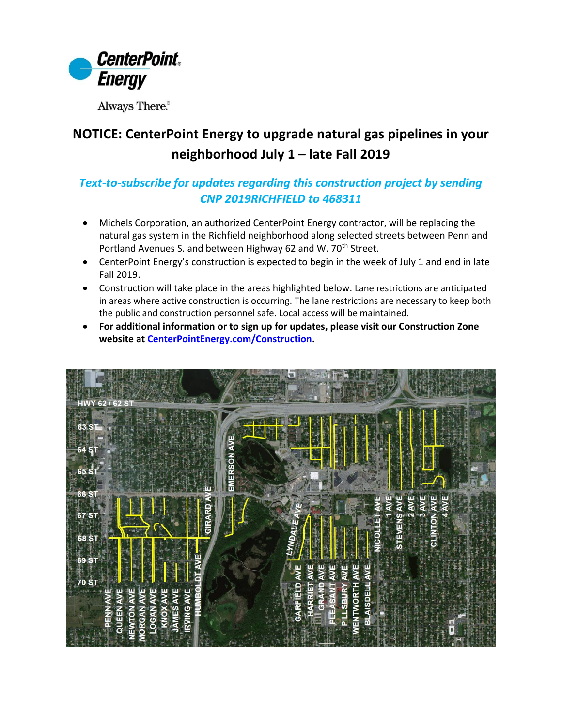

Always There.®

## **NOTICE: CenterPoint Energy to upgrade natural gas pipelines in your neighborhood July 1 – late Fall 2019**

## *Text-to-subscribe for updates regarding this construction project by sending CNP 2019RICHFIELD to 468311*

- Michels Corporation, an authorized CenterPoint Energy contractor, will be replacing the natural gas system in the Richfield neighborhood along selected streets between Penn and Portland Avenues S. and between Highway 62 and W. 70<sup>th</sup> Street.
- CenterPoint Energy's construction is expected to begin in the week of July 1 and end in late Fall 2019.
- Construction will take place in the areas highlighted below. Lane restrictions are anticipated in areas where active construction is occurring. The lane restrictions are necessary to keep both the public and construction personnel safe. Local access will be maintained.
- **For additional information or to sign up for updates, please visit our Construction Zone website at [CenterPointEnergy.com/Construction.](http://www.centerpointenergy.com/Construction)**